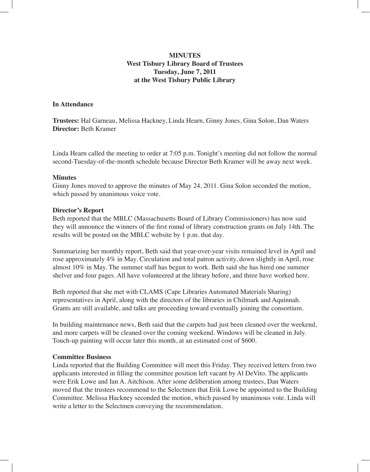# **MINUTES West Tisbury Library Board of Trustees Tuesday, June 7, 2011 at the West Tisbury Public Library**

## **In Attendance**

**Trustees:** Hal Garneau, Melissa Hackney, Linda Hearn, Ginny Jones, Gina Solon, Dan Waters **Director:** Beth Kramer

Linda Hearn called the meeting to order at 7:05 p.m. Tonight's meeting did not follow the normal second-Tuesday-of-the-month schedule because Director Beth Kramer will be away next week.

### **Minutes**

Ginny Jones moved to approve the minutes of May 24, 2011. Gina Solon seconded the motion, which passed by unanimous voice vote.

### **Director's Report**

Beth reported that the MBLC (Massachusetts Board of Library Commissioners) has now said they will announce the winners of the first round of library construction grants on July 14th. The results will be posted on the MBLC website by 1 p.m. that day.

Summarizing her monthly report, Beth said that year-over-year visits remained level in April and rose approximately 4% in May. Circulation and total patron activity, down slightly in April, rose almost 10% in May. The summer staff has begun to work. Beth said she has hired one summer shelver and four pages. All have volunteered at the library before, and three have worked here.

Beth reported that she met with CLAMS (Cape Libraries Automated Materials Sharing) representatives in April, along with the directors of the libraries in Chilmark and Aquinnah. Grants are still available, and talks are proceeding toward eventually joining the consortium.

In building maintenance news, Beth said that the carpets had just been cleaned over the weekend, and more carpets will be cleaned over the coming weekend. Windows will be cleaned in July. Touch-up painting will occur later this month, at an estimated cost of \$600.

#### **Committee Business**

Linda reported that the Building Committee will meet this Friday. They received letters from two applicants interested in filling the committee position left vacant by Al DeVito. The applicants were Erik Lowe and Ian A. Aitchison. After some deliberation among trustees, Dan Waters moved that the trustees recommend to the Selectmen that Erik Lowe be appointed to the Building Committee. Melissa Hackney seconded the motion, which passed by unanimous vote. Linda will write a letter to the Selectmen conveying the recommendation.